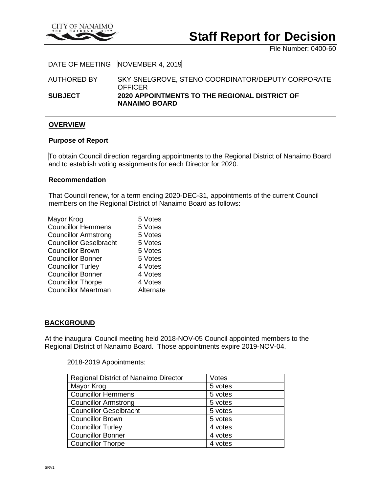

# **Staff Report for Decision**

File Number: 0400-60

### DATE OF MEETING NOVEMBER 4, 2019

AUTHORED BY SKY SNELGROVE, STENO COORDINATOR/DEPUTY CORPORATE **OFFICER** 

**SUBJECT 2020 APPOINTMENTS TO THE REGIONAL DISTRICT OF NANAIMO BOARD**

#### **OVERVIEW**

#### **Purpose of Report**

To obtain Council direction regarding appointments to the Regional District of Nanaimo Board and to establish voting assignments for each Director for 2020.

#### **Recommendation**

That Council renew, for a term ending 2020-DEC-31, appointments of the current Council members on the Regional District of Nanaimo Board as follows:

| Mayor Krog                    | 5 Votes   |
|-------------------------------|-----------|
| <b>Councillor Hemmens</b>     | 5 Votes   |
| <b>Councillor Armstrong</b>   | 5 Votes   |
| <b>Councillor Geselbracht</b> | 5 Votes   |
| <b>Councillor Brown</b>       | 5 Votes   |
| <b>Councillor Bonner</b>      | 5 Votes   |
| <b>Councillor Turley</b>      | 4 Votes   |
| <b>Councillor Bonner</b>      | 4 Votes   |
| <b>Councillor Thorpe</b>      | 4 Votes   |
| <b>Councillor Maartman</b>    | Alternate |
|                               |           |

## **BACKGROUND**

At the inaugural Council meeting held 2018-NOV-05 Council appointed members to the Regional District of Nanaimo Board. Those appointments expire 2019-NOV-04.

2018-2019 Appointments:

| Regional District of Nanaimo Director | Votes   |
|---------------------------------------|---------|
| Mayor Krog                            | 5 votes |
| <b>Councillor Hemmens</b>             | 5 votes |
| <b>Councillor Armstrong</b>           | 5 votes |
| <b>Councillor Geselbracht</b>         | 5 votes |
| <b>Councillor Brown</b>               | 5 votes |
| <b>Councillor Turley</b>              | 4 votes |
| <b>Councillor Bonner</b>              | 4 votes |
| <b>Councillor Thorpe</b>              | 4 votes |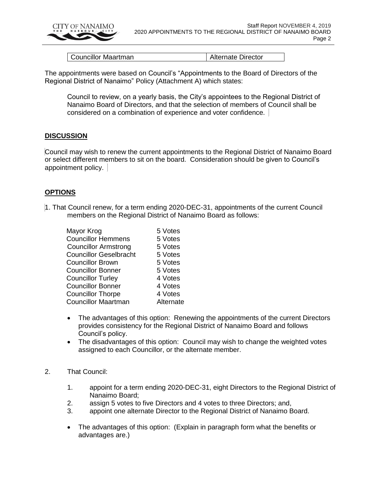

Councillor Maartman Alternate Director

The appointments were based on Council's "Appointments to the Board of Directors of the Regional District of Nanaimo" Policy (Attachment A) which states:

Council to review, on a yearly basis, the City's appointees to the Regional District of Nanaimo Board of Directors, and that the selection of members of Council shall be considered on a combination of experience and voter confidence.

#### **DISCUSSION**

Council may wish to renew the current appointments to the Regional District of Nanaimo Board or select different members to sit on the board. Consideration should be given to Council's appointment policy.

#### **OPTIONS**

1. That Council renew, for a term ending 2020-DEC-31, appointments of the current Council members on the Regional District of Nanaimo Board as follows:

| Mayor Krog                    | 5 Votes   |
|-------------------------------|-----------|
| <b>Councillor Hemmens</b>     | 5 Votes   |
| <b>Councillor Armstrong</b>   | 5 Votes   |
| <b>Councillor Geselbracht</b> | 5 Votes   |
| <b>Councillor Brown</b>       | 5 Votes   |
| <b>Councillor Bonner</b>      | 5 Votes   |
| <b>Councillor Turley</b>      | 4 Votes   |
| <b>Councillor Bonner</b>      | 4 Votes   |
| <b>Councillor Thorpe</b>      | 4 Votes   |
| <b>Councillor Maartman</b>    | Alternate |

- The advantages of this option: Renewing the appointments of the current Directors provides consistency for the Regional District of Nanaimo Board and follows Council's policy.
- The disadvantages of this option: Council may wish to change the weighted votes assigned to each Councillor, or the alternate member.
- 2. That Council:
	- 1. appoint for a term ending 2020-DEC-31, eight Directors to the Regional District of Nanaimo Board;
	- 2. assign 5 votes to five Directors and 4 votes to three Directors; and,
	- 3. appoint one alternate Director to the Regional District of Nanaimo Board.
	- The advantages of this option: (Explain in paragraph form what the benefits or advantages are.)